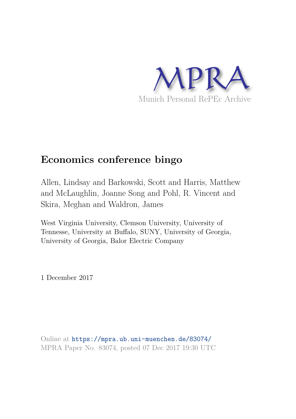

## **Economics conference bingo**

Allen, Lindsay and Barkowski, Scott and Harris, Matthew and McLaughlin, Joanne Song and Pohl, R. Vincent and Skira, Meghan and Waldron, James

West Virginia University, Clemson University, University of Tennesse, University at Buffalo, SUNY, University of Georgia, University of Georgia, Balor Electric Company

1 December 2017

Online at https://mpra.ub.uni-muenchen.de/83074/ MPRA Paper No. 83074, posted 07 Dec 2017 19:30 UTC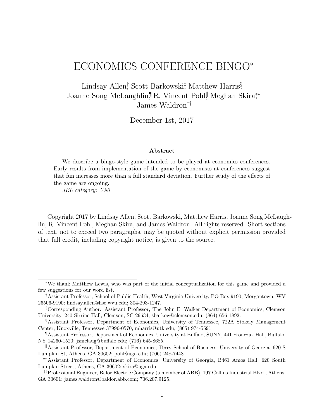## ECONOMICS CONFERENCE BINGO<sup>∗</sup>

Lindsay Allen<sup>†</sup>, Scott Barkowski<sup>‡</sup>, Matthew Harris<sup>§</sup>, Joanne Song McLaughlin,¶R. Vincent Pohl, Meghan Skira,\*\* James Waldron††

December 1st, 2017

## Abstract

We describe a bingo-style game intended to be played at economics conferences. Early results from implementation of the game by economists at conferences suggest that fun increases more than a full standard deviation. Further study of the effects of the game are ongoing.

JEL category: Y90

Copyright 2017 by Lindsay Allen, Scott Barkowski, Matthew Harris, Joanne Song McLaughlin, R. Vincent Pohl, Meghan Skira, and James Waldron. All rights reserved. Short sections of text, not to exceed two paragraphs, may be quoted without explicit permission provided that full credit, including copyright notice, is given to the source.

<sup>∗</sup>We thank Matthew Lewis, who was part of the initial conceptualization for this game and provided a few suggestions for our word list.

<sup>†</sup>Assistant Professor, School of Public Health, West Virginia University, PO Box 9190, Morgantown, WV 26506-9190; lindsay.allen@hsc.wvu.edu; 304-293-1247.

<sup>‡</sup>Corresponding Author. Assistant Professor, The John E. Walker Department of Economics, Clemson University, 240 Sirrine Hall, Clemson, SC 29634; sbarkow@clemson.edu; (864) 656-1892.

<sup>§</sup>Assistant Professor, Department of Economics, University of Tennessee, 722A Stokely Management Center, Knoxville, Tennessee 37996-0570; mharris@utk.edu; (865) 974-5591.

<sup>¶</sup>Assistant Professor, Department of Economics, University at Buffalo, SUNY, 441 Fronczak Hall, Buffalo, NY 14260-1520; jsmclaug@buffalo.edu; (716) 645-8685.

KAssistant Professor, Department of Economics, Terry School of Business, University of Georgia, 620 S Lumpkin St, Athens, GA 30602; pohl@uga.edu; (706) 248-7448.

<sup>∗∗</sup>Assistant Professor, Department of Economics, University of Georgia, B461 Amos Hall, 620 South Lumpkin Street, Athens, GA 30602; skira@uga.edu.

<sup>††</sup>Professional Engineer, Balor Electric Company (a member of ABB), 197 Collins Industrial Blvd., Athens, GA 30601; james.waldron@baldor.abb.com; 706.207.9125.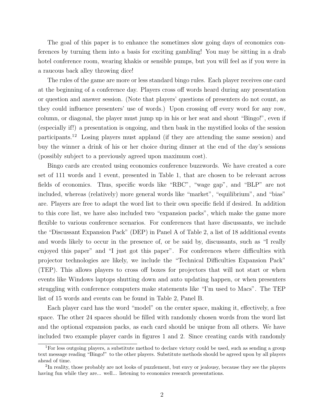The goal of this paper is to enhance the sometimes slow going days of economics conferences by turning them into a basis for exciting gambling! You may be sitting in a drab hotel conference room, wearing khakis or sensible pumps, but you will feel as if you were in a raucous back alley throwing dice!

The rules of the game are more or less standard bingo rules. Each player receives one card at the beginning of a conference day. Players cross off words heard during any presentation or question and answer session. (Note that players' questions of presenters do not count, as they could influence presenters' use of words.) Upon crossing off every word for any row, column, or diagonal, the player must jump up in his or her seat and shout "Bingo!", even if (especially if!) a presentation is ongoing, and then bask in the mystified looks of the session participants.<sup>12</sup> Losing players must applaud (if they are attending the same session) and buy the winner a drink of his or her choice during dinner at the end of the day's sessions (possibly subject to a previously agreed upon maximum cost).

Bingo cards are created using economics conference buzzwords. We have created a core set of 111 words and 1 event, presented in Table 1, that are chosen to be relevant across fields of economics. Thus, specific words like "RBC", "wage gap", and "BLP" are not included, whereas (relatively) more general words like "market", "equilibrium", and "bias" are. Players are free to adapt the word list to their own specific field if desired. In addition to this core list, we have also included two "expansion packs", which make the game more flexible to various conference scenarios. For conferences that have discussants, we include the "Discussant Expansion Pack" (DEP) in Panel A of Table 2, a list of 18 additional events and words likely to occur in the presence of, or be said by, discussants, such as "I really enjoyed this paper" and "I just got this paper". For conferences where difficulties with projector technologies are likely, we include the "Technical Difficulties Expansion Pack" (TEP). This allows players to cross off boxes for projectors that will not start or when events like Windows laptops shutting down and auto updating happen, or when presenters struggling with conference computers make statements like "I'm used to Macs". The TEP list of 15 words and events can be found in Table 2, Panel B.

Each player card has the word "model" on the center space, making it, effectively, a free space. The other 24 spaces should be filled with randomly chosen words from the word list and the optional expansion packs, as each card should be unique from all others. We have included two example player cards in figures 1 and 2. Since creating cards with randomly

<sup>1</sup>For less outgoing players, a substitute method to declare victory could be used, such as sending a group text message reading "Bingo!" to the other players. Substitute methods should be agreed upon by all players ahead of time.

<sup>&</sup>lt;sup>2</sup>In reality, those probably are not looks of puzzlement, but envy or jealousy, because they see the players having fun while they are... well... listening to economics research presentations.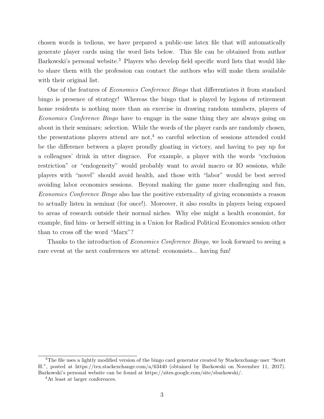chosen words is tedious, we have prepared a public-use latex file that will automatically generate player cards using the word lists below. This file can be obtained from author Barkowski's personal website.<sup>3</sup> Players who develop field specific word lists that would like to share them with the profession can contact the authors who will make them available with their original list.

One of the features of *Economics Conference Bingo* that differentiates it from standard bingo is presence of strategy! Whereas the bingo that is played by legions of retirement home residents is nothing more than an exercise in drawing random numbers, players of Economics Conference Bingo have to engage in the same thing they are always going on about in their seminars: selection. While the words of the player cards are randomly chosen, the presentations players attend are not,<sup>4</sup> so careful selection of sessions attended could be the difference between a player proudly gloating in victory, and having to pay up for a colleagues' drink in utter disgrace. For example, a player with the words "exclusion restriction" or "endogeneity" would probably want to avoid macro or IO sessions, while players with "novel" should avoid health, and those with "labor" would be best served avoiding labor economics sessions. Beyond making the game more challenging and fun, Economics Conference Bingo also has the positive externality of giving economists a reason to actually listen in seminar (for once!). Moreover, it also results in players being exposed to areas of research outside their normal niches. Why else might a health economist, for example, find him- or herself sitting in a Union for Radical Political Economics session other than to cross off the word "Marx"?

Thanks to the introduction of *Economics Conference Bingo*, we look forward to seeing a rare event at the next conferences we attend: economists... having fun!

<sup>&</sup>lt;sup>3</sup>The file uses a lightly modified version of the bingo card generator created by Stackexchange user "Scott" H.", posted at https://tex.stackexchange.com/a/63440 (obtained by Barkowski on November 11, 2017). Barkowski's personal website can be found at https://sites.google.com/site/sbarkowski/.

<sup>4</sup>At least at larger conferences.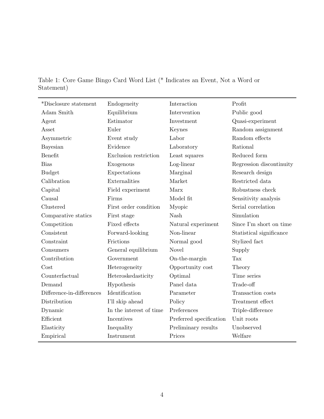| *Disclosure statement     | Endogeneity             | Interaction             | Profit                   |
|---------------------------|-------------------------|-------------------------|--------------------------|
| Adam Smith                | Equilibrium             | Intervention            | Public good              |
| Agent                     | Estimator               | Investment              | Quasi-experiment         |
| Asset                     | Euler                   | Keynes                  | Random assignment        |
| Asymmetric                | Event study             | Labor                   | Random effects           |
| Bayesian                  | Evidence                | Laboratory              | Rational                 |
| Benefit                   | Exclusion restriction   | Least squares           | Reduced form             |
| <b>Bias</b>               | Exogenous               | Log-linear              | Regression discontinuity |
| <b>Budget</b>             | Expectations            | Marginal                | Research design          |
| Calibration               | Externalities           | Market                  | Restricted data          |
| Capital                   | Field experiment        | Marx                    | Robustness check         |
| Causal                    | Firms                   | Model fit               | Sensitivity analysis     |
| Clustered                 | First order condition   | Myopic                  | Serial correlation       |
| Comparative statics       | First stage             | Nash                    | Simulation               |
| Competition               | Fixed effects           | Natural experiment      | Since I'm short on time  |
| Consistent                | Forward-looking         | Non-linear              | Statistical significance |
| Constraint                | Frictions               | Normal good             | Stylized fact            |
| Consumers                 | General equilibrium     | Novel                   | Supply                   |
| Contribution              | Government              | On-the-margin           | Tax                      |
| Cost                      | Heterogeneity           | Opportunity cost        | Theory                   |
| Counterfactual            | Heteroskedasticity      | Optimal                 | Time series              |
| Demand                    | Hypothesis              | Panel data              | Trade-off                |
| Difference-in-differences | Identification          | Parameter               | Transaction costs        |
| Distribution              | I'll skip ahead         | Policy                  | Treatment effect         |
| Dynamic                   | In the interest of time | Preferences             | Triple-difference        |
| Efficient                 | Incentives              | Preferred specification | Unit roots               |
| Elasticity                | Inequality              | Preliminary results     | Unobserved               |
| Empirical                 | Instrument              | Prices                  | Welfare                  |

Table 1: Core Game Bingo Card Word List (\* Indicates an Event, Not a Word or Statement)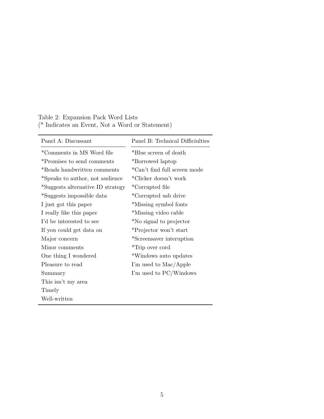| Panel A: Discussant               | Panel B: Technical Difficiulties |  |  |
|-----------------------------------|----------------------------------|--|--|
| *Comments in MS Word file         | *Blue screen of death            |  |  |
| *Promises to send comments        | *Borrowed laptop                 |  |  |
| *Reads handwritten comments       | *Can't find full screen mode     |  |  |
| *Speaks to author, not audience   | *Clicker doesn't work            |  |  |
| *Suggests alternative ID strategy | *Corrupted file                  |  |  |
| *Suggests impossible data         | *Corrupted usb drive             |  |  |
| I just got this paper             | *Missing symbol fonts            |  |  |
| I really like this paper          | *Missing video cable             |  |  |
| I'd be interested to see          | *No signal to projector          |  |  |
| If you could get data on          | *Projector won't start           |  |  |
| Major concern                     | *Screensaver interuption         |  |  |
| Minor comments                    | *Trip over cord                  |  |  |
| One thing I wondered              | *Windows auto updates            |  |  |
| Pleasure to read                  | I'm used to Mac/Apple            |  |  |
| Summary                           | I'm used to PC/Windows           |  |  |
| This isn't my area                |                                  |  |  |
| Timely                            |                                  |  |  |
| Well-written                      |                                  |  |  |

Table 2: Expansion Pack Word Lists (\* Indicates an Event, Not a Word or Statement)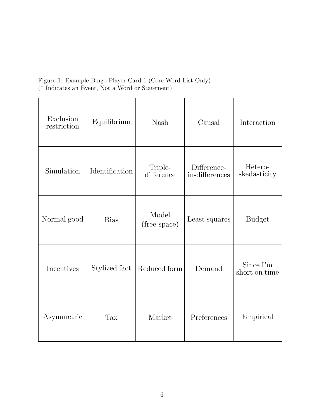Figure 1: Example Bingo Player Card 1 (Core Word List Only) (\* Indicates an Event, Not a Word or Statement)

| Exclusion<br>restriction | Equilibrium    | <b>Nash</b>           | Causal                        | Interaction                |
|--------------------------|----------------|-----------------------|-------------------------------|----------------------------|
| Simulation               | Identification | Triple-<br>difference | Difference-<br>in-differences | Hetero-<br>skedasticity    |
| Normal good              | <b>Bias</b>    | Model<br>(free space) | Least squares                 | <b>Budget</b>              |
| Incentives               | Stylized fact  | Reduced form          | Demand                        | Since I'm<br>short on time |
| Asymmetric               | Tax            | Market                | Preferences                   | Empirical                  |